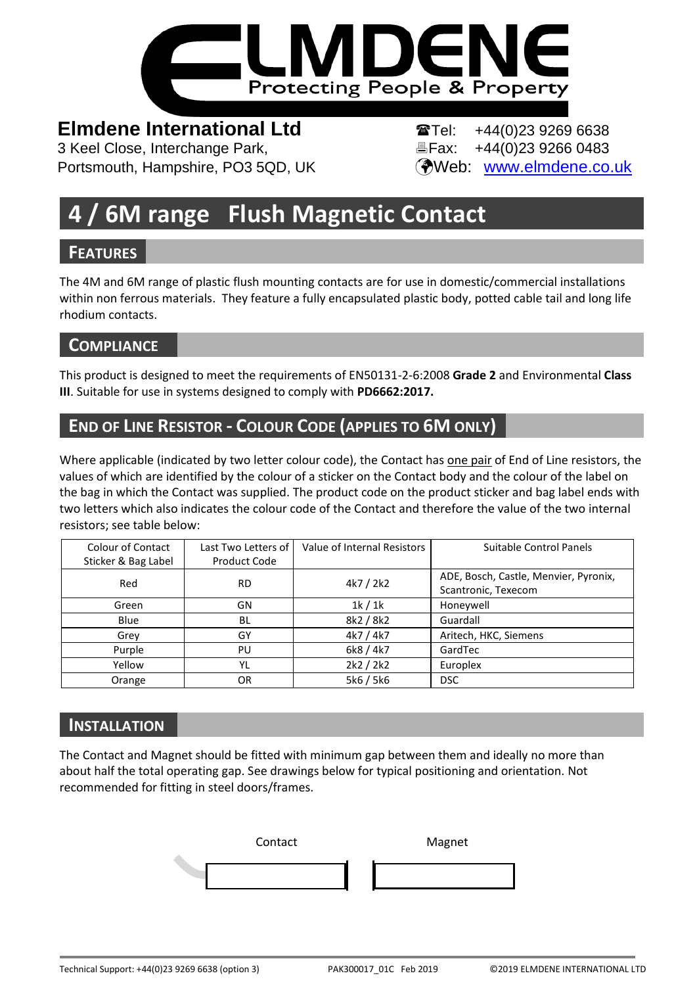

# **Elmdene International Ltd Tel:** +44(0)23 9269 6638

3 Keel Close, Interchange Park, Fax: +44(0)23 9266 0483 Portsmouth, Hampshire, PO3 5QD, UK (Web: [www.elmdene.co.uk](http://www.elmdene.co.uk/)

# **4 / 6M range Flush Magnetic Contact**

# **FEATURES**

The 4M and 6M range of plastic flush mounting contacts are for use in domestic/commercial installations within non ferrous materials. They feature a fully encapsulated plastic body, potted cable tail and long life rhodium contacts.

# **COMPLIANCE**

This product is designed to meet the requirements of EN50131-2-6:2008 **Grade 2** and Environmental **Class III**. Suitable for use in systems designed to comply with **PD6662:2017.**

# **END OF LINE RESISTOR - COLOUR CODE (APPLIES TO 6M ONLY)**

Where applicable (indicated by two letter colour code), the Contact has one pair of End of Line resistors, the values of which are identified by the colour of a sticker on the Contact body and the colour of the label on the bag in which the Contact was supplied. The product code on the product sticker and bag label ends with two letters which also indicates the colour code of the Contact and therefore the value of the two internal resistors; see table below:

| Colour of Contact<br>Sticker & Bag Label | Last Two Letters of<br>Product Code | Value of Internal Resistors | Suitable Control Panels                                      |
|------------------------------------------|-------------------------------------|-----------------------------|--------------------------------------------------------------|
| Red                                      | <b>RD</b>                           | 4k7 / 2k2                   | ADE, Bosch, Castle, Menvier, Pyronix,<br>Scantronic, Texecom |
| Green                                    | GN                                  | 1k/1k                       | Honeywell                                                    |
| Blue                                     | BL                                  | 8k2 / 8k2                   | Guardall                                                     |
| Grey                                     | GY                                  | 4k7 / 4k7                   | Aritech, HKC, Siemens                                        |
| Purple                                   | PU                                  | 6k8 / 4k7                   | GardTec                                                      |
| Yellow                                   | YL                                  | 2k2 / 2k2                   | Europlex                                                     |
| Orange                                   | 0R                                  | 5k6 / 5k6                   | <b>DSC</b>                                                   |

# **INSTALLATION**

The Contact and Magnet should be fitted with minimum gap between them and ideally no more than about half the total operating gap. See drawings below for typical positioning and orientation. Not recommended for fitting in steel doors/frames.

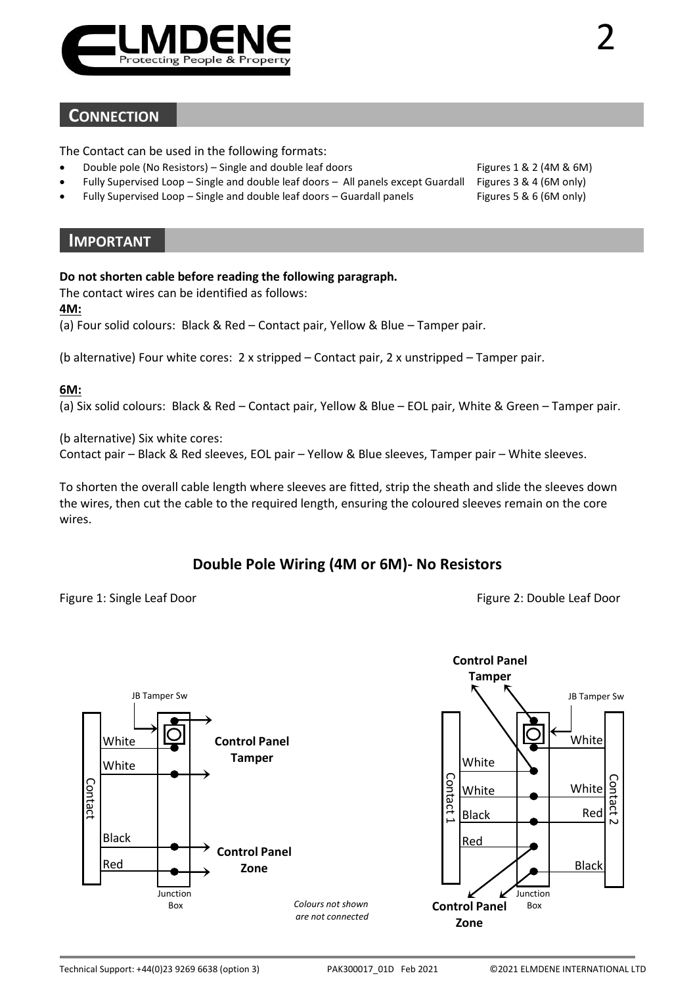

### **CONNECTION**

The Contact can be used in the following formats:

- Double pole (No Resistors) Single and double leaf doors Figures 1 & 2 (4M & 6M)
- Fully Supervised Loop Single and double leaf doors All panels except Guardall Figures 3 & 4 (6M only)
- Fully Supervised Loop Single and double leaf doors Guardall panels Figures 5 & 6 (6M only)

#### **IMPORTANT**

#### **Do not shorten cable before reading the following paragraph.**

The contact wires can be identified as follows:

#### **4M:**

(a) Four solid colours: Black & Red – Contact pair, Yellow & Blue – Tamper pair.

(b alternative) Four white cores: 2 x stripped – Contact pair, 2 x unstripped – Tamper pair.

#### **6M:**

(a) Six solid colours: Black & Red – Contact pair, Yellow & Blue – EOL pair, White & Green – Tamper pair.

(b alternative) Six white cores:

Contact pair – Black & Red sleeves, EOL pair – Yellow & Blue sleeves, Tamper pair – White sleeves.

To shorten the overall cable length where sleeves are fitted, strip the sheath and slide the sleeves down the wires, then cut the cable to the required length, ensuring the coloured sleeves remain on the core wires.

#### **Double Pole Wiring (4M or 6M)- No Resistors**

Figure 1: Single Leaf Door **Figure 2: Double Leaf Door** Figure 2: Double Leaf Door



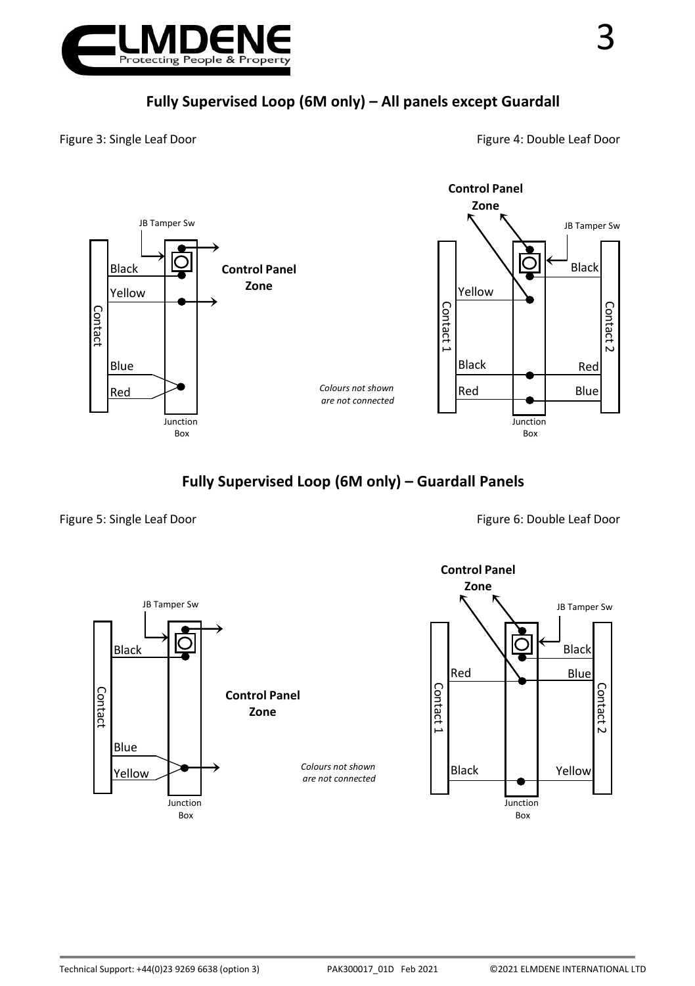

Figure 3: Single Leaf Door **Figure 4: Double Leaf Door** Figure 4: Double Leaf Door



## **Fully Supervised Loop (6M only) – Guardall Panels**

Figure 5: Single Leaf Door **Figure 5: Single Leaf Door** Figure 6: Double Leaf Door